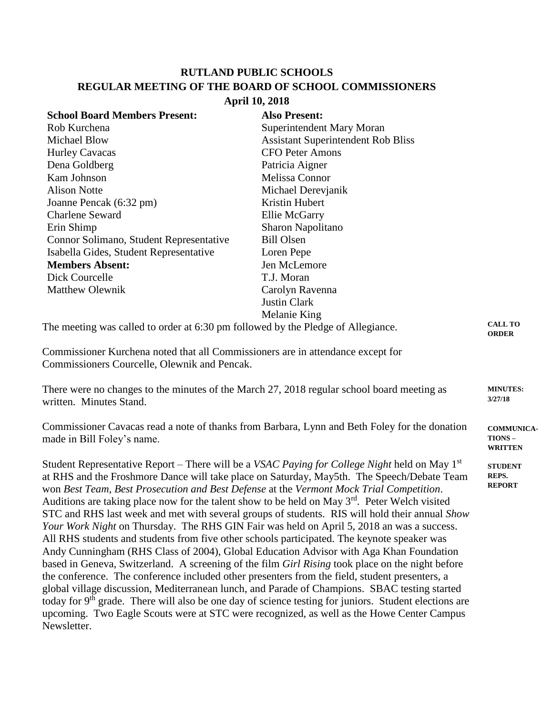## **RUTLAND PUBLIC SCHOOLS REGULAR MEETING OF THE BOARD OF SCHOOL COMMISSIONERS**

## **April 10, 2018**

| <b>School Board Members Present:</b>                                                                                                                                                                                                                                                                                                                                                              | <b>Also Present:</b>                                                                                                                                                                                                                                                                                   |                                                       |
|---------------------------------------------------------------------------------------------------------------------------------------------------------------------------------------------------------------------------------------------------------------------------------------------------------------------------------------------------------------------------------------------------|--------------------------------------------------------------------------------------------------------------------------------------------------------------------------------------------------------------------------------------------------------------------------------------------------------|-------------------------------------------------------|
| Rob Kurchena                                                                                                                                                                                                                                                                                                                                                                                      | Superintendent Mary Moran                                                                                                                                                                                                                                                                              |                                                       |
| <b>Michael Blow</b>                                                                                                                                                                                                                                                                                                                                                                               | <b>Assistant Superintendent Rob Bliss</b>                                                                                                                                                                                                                                                              |                                                       |
| <b>Hurley Cavacas</b>                                                                                                                                                                                                                                                                                                                                                                             | <b>CFO Peter Amons</b>                                                                                                                                                                                                                                                                                 |                                                       |
| Dena Goldberg                                                                                                                                                                                                                                                                                                                                                                                     | Patricia Aigner                                                                                                                                                                                                                                                                                        |                                                       |
| Kam Johnson                                                                                                                                                                                                                                                                                                                                                                                       | Melissa Connor                                                                                                                                                                                                                                                                                         |                                                       |
| <b>Alison Notte</b>                                                                                                                                                                                                                                                                                                                                                                               | Michael Derevjanik                                                                                                                                                                                                                                                                                     |                                                       |
| Joanne Pencak (6:32 pm)                                                                                                                                                                                                                                                                                                                                                                           | Kristin Hubert                                                                                                                                                                                                                                                                                         |                                                       |
| <b>Charlene Seward</b>                                                                                                                                                                                                                                                                                                                                                                            | <b>Ellie McGarry</b>                                                                                                                                                                                                                                                                                   |                                                       |
| Erin Shimp                                                                                                                                                                                                                                                                                                                                                                                        | Sharon Napolitano                                                                                                                                                                                                                                                                                      |                                                       |
| Connor Solimano, Student Representative                                                                                                                                                                                                                                                                                                                                                           | <b>Bill Olsen</b>                                                                                                                                                                                                                                                                                      |                                                       |
| Isabella Gides, Student Representative                                                                                                                                                                                                                                                                                                                                                            | Loren Pepe                                                                                                                                                                                                                                                                                             |                                                       |
| <b>Members Absent:</b>                                                                                                                                                                                                                                                                                                                                                                            | Jen McLemore                                                                                                                                                                                                                                                                                           |                                                       |
| Dick Courcelle                                                                                                                                                                                                                                                                                                                                                                                    | T.J. Moran                                                                                                                                                                                                                                                                                             |                                                       |
| <b>Matthew Olewnik</b>                                                                                                                                                                                                                                                                                                                                                                            | Carolyn Ravenna                                                                                                                                                                                                                                                                                        |                                                       |
|                                                                                                                                                                                                                                                                                                                                                                                                   | <b>Justin Clark</b>                                                                                                                                                                                                                                                                                    |                                                       |
|                                                                                                                                                                                                                                                                                                                                                                                                   | Melanie King                                                                                                                                                                                                                                                                                           |                                                       |
| The meeting was called to order at 6:30 pm followed by the Pledge of Allegiance.                                                                                                                                                                                                                                                                                                                  |                                                                                                                                                                                                                                                                                                        | <b>CALL TO</b><br><b>ORDER</b>                        |
| Commissioner Kurchena noted that all Commissioners are in attendance except for<br>Commissioners Courcelle, Olewnik and Pencak.                                                                                                                                                                                                                                                                   |                                                                                                                                                                                                                                                                                                        |                                                       |
| There were no changes to the minutes of the March 27, 2018 regular school board meeting as<br>written. Minutes Stand.                                                                                                                                                                                                                                                                             |                                                                                                                                                                                                                                                                                                        | <b>MINUTES:</b><br>3/27/18                            |
| made in Bill Foley's name.                                                                                                                                                                                                                                                                                                                                                                        | Commissioner Cavacas read a note of thanks from Barbara, Lynn and Beth Foley for the donation                                                                                                                                                                                                          | <b>COMMUNICA-</b><br><b>TIONS –</b><br><b>WRITTEN</b> |
| won Best Team, Best Prosecution and Best Defense at the Vermont Mock Trial Competition.<br>Auditions are taking place now for the talent show to be held on May 3 <sup>rd</sup> . Peter Welch visited<br>Your Work Night on Thursday. The RHS GIN Fair was held on April 5, 2018 an was a success.<br>All RHS students and students from five other schools participated. The keynote speaker was | Student Representative Report – There will be a <i>VSAC Paying for College Night</i> held on May $1st$<br>at RHS and the Froshmore Dance will take place on Saturday, May5th. The Speech/Debate Team<br>STC and RHS last week and met with several groups of students. RIS will hold their annual Show | <b>STUDENT</b><br>REPS.<br><b>REPORT</b>              |

Andy Cunningham (RHS Class of 2004), Global Education Advisor with Aga Khan Foundation based in Geneva, Switzerland. A screening of the film *Girl Rising* took place on the night before the conference. The conference included other presenters from the field, student presenters, a global village discussion, Mediterranean lunch, and Parade of Champions. SBAC testing started today for  $9<sup>th</sup>$  grade. There will also be one day of science testing for juniors. Student elections are upcoming. Two Eagle Scouts were at STC were recognized, as well as the Howe Center Campus Newsletter.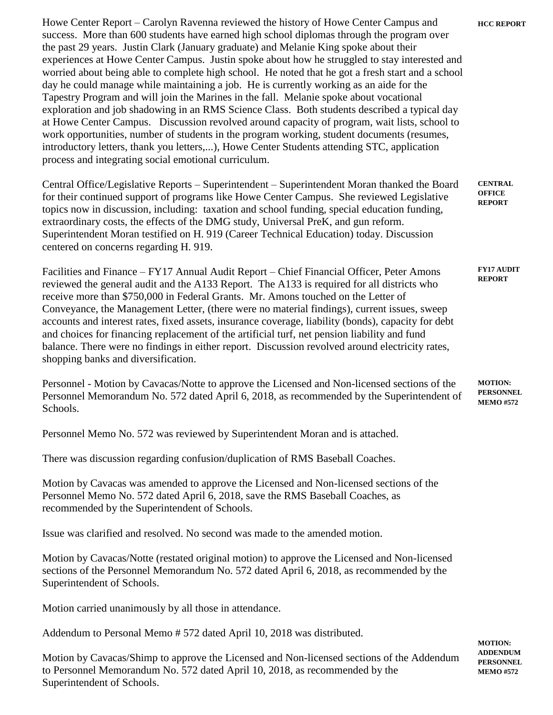Howe Center Report – Carolyn Ravenna reviewed the history of Howe Center Campus and success. More than 600 students have earned high school diplomas through the program over the past 29 years. Justin Clark (January graduate) and Melanie King spoke about their experiences at Howe Center Campus. Justin spoke about how he struggled to stay interested and worried about being able to complete high school. He noted that he got a fresh start and a school day he could manage while maintaining a job. He is currently working as an aide for the Tapestry Program and will join the Marines in the fall. Melanie spoke about vocational exploration and job shadowing in an RMS Science Class. Both students described a typical day at Howe Center Campus. Discussion revolved around capacity of program, wait lists, school to work opportunities, number of students in the program working, student documents (resumes, introductory letters, thank you letters,...), Howe Center Students attending STC, application process and integrating social emotional curriculum.

Central Office/Legislative Reports – Superintendent – Superintendent Moran thanked the Board for their continued support of programs like Howe Center Campus. She reviewed Legislative topics now in discussion, including: taxation and school funding, special education funding, extraordinary costs, the effects of the DMG study, Universal PreK, and gun reform. Superintendent Moran testified on H. 919 (Career Technical Education) today. Discussion centered on concerns regarding H. 919. **CENTRAL OFFICE REPORT**

Facilities and Finance – FY17 Annual Audit Report – Chief Financial Officer, Peter Amons reviewed the general audit and the A133 Report. The A133 is required for all districts who receive more than \$750,000 in Federal Grants. Mr. Amons touched on the Letter of Conveyance, the Management Letter, (there were no material findings), current issues, sweep accounts and interest rates, fixed assets, insurance coverage, liability (bonds), capacity for debt and choices for financing replacement of the artificial turf, net pension liability and fund balance. There were no findings in either report. Discussion revolved around electricity rates, shopping banks and diversification. **FY17 AUDIT REPORT**

Personnel - Motion by Cavacas/Notte to approve the Licensed and Non-licensed sections of the Personnel Memorandum No. 572 dated April 6, 2018, as recommended by the Superintendent of Schools. **MOTION: PERSONNEL MEMO #572**

Personnel Memo No. 572 was reviewed by Superintendent Moran and is attached.

There was discussion regarding confusion/duplication of RMS Baseball Coaches.

Motion by Cavacas was amended to approve the Licensed and Non-licensed sections of the Personnel Memo No. 572 dated April 6, 2018, save the RMS Baseball Coaches, as recommended by the Superintendent of Schools.

Issue was clarified and resolved. No second was made to the amended motion.

Motion by Cavacas/Notte (restated original motion) to approve the Licensed and Non-licensed sections of the Personnel Memorandum No. 572 dated April 6, 2018, as recommended by the Superintendent of Schools.

Motion carried unanimously by all those in attendance.

Addendum to Personal Memo # 572 dated April 10, 2018 was distributed.

Motion by Cavacas/Shimp to approve the Licensed and Non-licensed sections of the Addendum to Personnel Memorandum No. 572 dated April 10, 2018, as recommended by the Superintendent of Schools.

**MOTION: ADDENDUM PERSONNEL MEMO #572**

**HCC REPORT**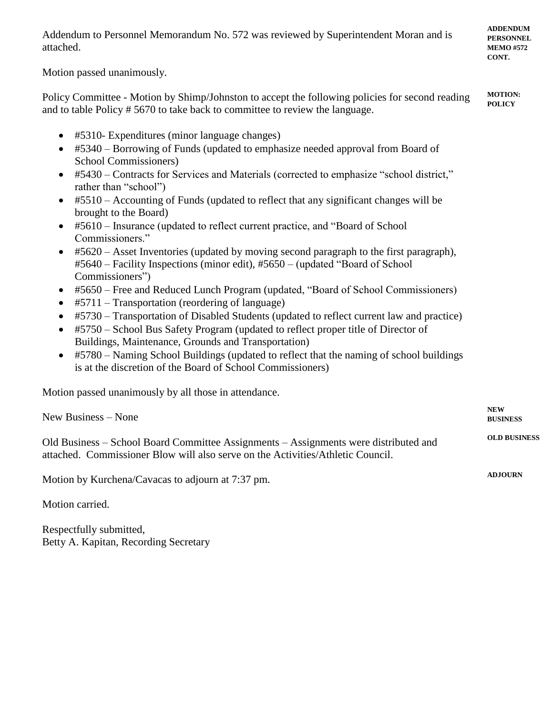| Addendum to Personnel Memorandum No. 572 was reviewed by Superintendent Moran and is<br>attached.                                                                                                                                                                                                                                                                                                                                                                                                                                                                                                                                                                                                                                                                                                                                                                                                                                                                                                                                                                                                                                                                                                                                                                                                                    | <b>ADDENDUM</b><br><b>PERSONNEL</b><br><b>MEMO #572</b><br>CONT. |
|----------------------------------------------------------------------------------------------------------------------------------------------------------------------------------------------------------------------------------------------------------------------------------------------------------------------------------------------------------------------------------------------------------------------------------------------------------------------------------------------------------------------------------------------------------------------------------------------------------------------------------------------------------------------------------------------------------------------------------------------------------------------------------------------------------------------------------------------------------------------------------------------------------------------------------------------------------------------------------------------------------------------------------------------------------------------------------------------------------------------------------------------------------------------------------------------------------------------------------------------------------------------------------------------------------------------|------------------------------------------------------------------|
| Motion passed unanimously.                                                                                                                                                                                                                                                                                                                                                                                                                                                                                                                                                                                                                                                                                                                                                                                                                                                                                                                                                                                                                                                                                                                                                                                                                                                                                           |                                                                  |
| Policy Committee - Motion by Shimp/Johnston to accept the following policies for second reading<br>and to table Policy # 5670 to take back to committee to review the language.                                                                                                                                                                                                                                                                                                                                                                                                                                                                                                                                                                                                                                                                                                                                                                                                                                                                                                                                                                                                                                                                                                                                      | <b>MOTION:</b><br><b>POLICY</b>                                  |
| #5310- Expenditures (minor language changes)<br>#5340 – Borrowing of Funds (updated to emphasize needed approval from Board of<br>$\bullet$<br>School Commissioners)<br>#5430 – Contracts for Services and Materials (corrected to emphasize "school district,"<br>rather than "school")<br>#5510 - Accounting of Funds (updated to reflect that any significant changes will be<br>$\bullet$<br>brought to the Board)<br>#5610 – Insurance (updated to reflect current practice, and "Board of School"<br>Commissioners."<br>#5620 – Asset Inventories (updated by moving second paragraph to the first paragraph),<br>#5640 - Facility Inspections (minor edit), #5650 - (updated "Board of School<br>Commissioners")<br>#5650 – Free and Reduced Lunch Program (updated, "Board of School Commissioners)<br>$\bullet$<br>#5711 – Transportation (reordering of language)<br>#5730 – Transportation of Disabled Students (updated to reflect current law and practice)<br>$\bullet$<br>#5750 – School Bus Safety Program (updated to reflect proper title of Director of<br>$\bullet$<br>Buildings, Maintenance, Grounds and Transportation)<br>#5780 - Naming School Buildings (updated to reflect that the naming of school buildings<br>$\bullet$<br>is at the discretion of the Board of School Commissioners) |                                                                  |
| Motion passed unanimously by all those in attendance.                                                                                                                                                                                                                                                                                                                                                                                                                                                                                                                                                                                                                                                                                                                                                                                                                                                                                                                                                                                                                                                                                                                                                                                                                                                                |                                                                  |
| New Business - None                                                                                                                                                                                                                                                                                                                                                                                                                                                                                                                                                                                                                                                                                                                                                                                                                                                                                                                                                                                                                                                                                                                                                                                                                                                                                                  | <b>NEW</b><br><b>BUSINESS</b>                                    |
| Old Business – School Board Committee Assignments – Assignments were distributed and<br>attached. Commissioner Blow will also serve on the Activities/Athletic Council.                                                                                                                                                                                                                                                                                                                                                                                                                                                                                                                                                                                                                                                                                                                                                                                                                                                                                                                                                                                                                                                                                                                                              | <b>OLD BUSINESS</b>                                              |
| Motion by Kurchena/Cavacas to adjourn at 7:37 pm.                                                                                                                                                                                                                                                                                                                                                                                                                                                                                                                                                                                                                                                                                                                                                                                                                                                                                                                                                                                                                                                                                                                                                                                                                                                                    |                                                                  |

Motion carried.

Respectfully submitted, Betty A. Kapitan, Recording Secretary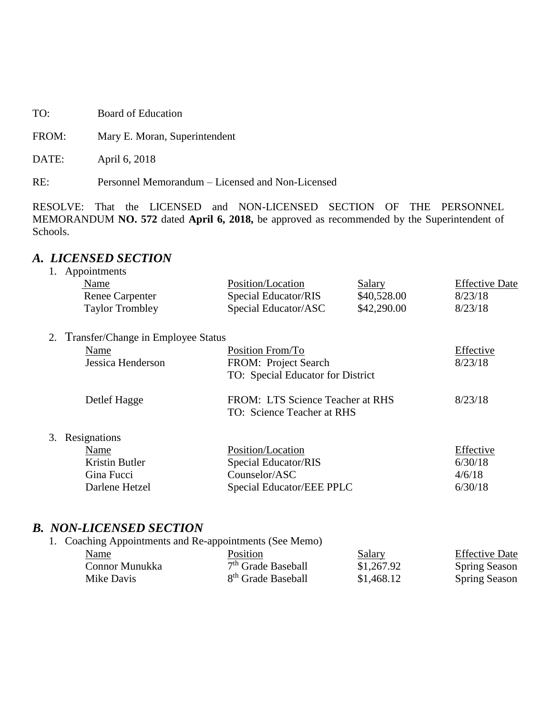TO: Board of Education

FROM: Mary E. Moran, Superintendent

DATE: April 6, 2018

RE: Personnel Memorandum – Licensed and Non-Licensed

RESOLVE: That the LICENSED and NON-LICENSED SECTION OF THE PERSONNEL MEMORANDUM **NO. 572** dated **April 6, 2018,** be approved as recommended by the Superintendent of Schools.

## *A. LICENSED SECTION*

| 1. | Appointments                          |                                   |             |                       |
|----|---------------------------------------|-----------------------------------|-------------|-----------------------|
|    | Name                                  | Position/Location                 | Salary      | <b>Effective Date</b> |
|    | <b>Renee Carpenter</b>                | Special Educator/RIS              | \$40,528.00 | 8/23/18               |
|    | <b>Taylor Trombley</b>                | Special Educator/ASC              | \$42,290.00 | 8/23/18               |
|    | 2. Transfer/Change in Employee Status |                                   |             |                       |
|    | Name                                  | Position From/To                  |             | Effective             |
|    | Jessica Henderson                     | FROM: Project Search              |             | 8/23/18               |
|    |                                       | TO: Special Educator for District |             |                       |
|    | Detlef Hagge                          | FROM: LTS Science Teacher at RHS  |             | 8/23/18               |
|    |                                       | TO: Science Teacher at RHS        |             |                       |
|    | 3. Resignations                       |                                   |             |                       |
|    | Name                                  | Position/Location                 |             | Effective             |
|    | Kristin Butler                        | Special Educator/RIS              |             | 6/30/18               |
|    | Gina Fucci                            | Counselor/ASC                     |             | 4/6/18                |
|    | Darlene Hetzel                        | Special Educator/EEE PPLC         |             | 6/30/18               |
|    |                                       |                                   |             |                       |

## *B. NON-LICENSED SECTION*

| 1. Coaching Appointments and Re-appointments (See Memo) |                                |            |                       |
|---------------------------------------------------------|--------------------------------|------------|-----------------------|
| Name                                                    | Position                       | Salary     | <b>Effective Date</b> |
| Connor Munukka                                          | 7 <sup>th</sup> Grade Baseball | \$1,267.92 | <b>Spring Season</b>  |
| Mike Davis                                              | 8 <sup>th</sup> Grade Baseball | \$1,468.12 | <b>Spring Season</b>  |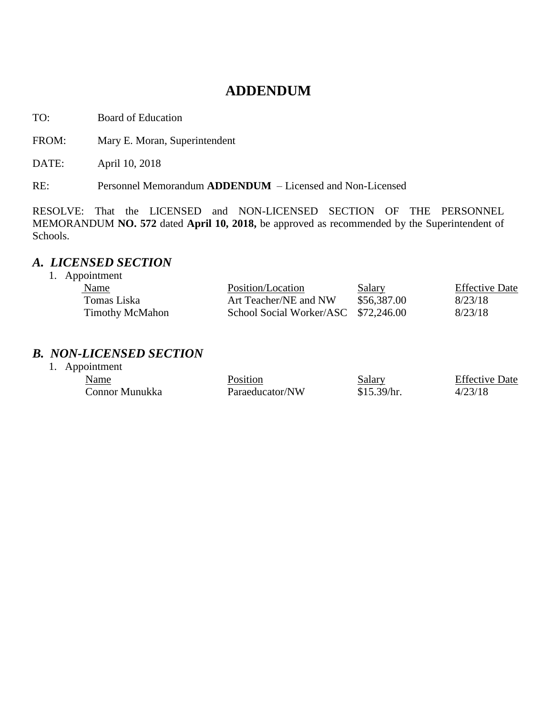# **ADDENDUM**

TO: Board of Education

FROM: Mary E. Moran, Superintendent

DATE: April 10, 2018

RE: Personnel Memorandum **ADDENDUM** – Licensed and Non-Licensed

RESOLVE: That the LICENSED and NON-LICENSED SECTION OF THE PERSONNEL MEMORANDUM **NO. 572** dated **April 10, 2018,** be approved as recommended by the Superintendent of Schools.

## *A. LICENSED SECTION*

1. Appointment

| <b>Name</b>            | Position/Location                    | <b>Salary</b> | <b>Effective Date</b> |
|------------------------|--------------------------------------|---------------|-----------------------|
| Tomas Liska            | Art Teacher/NE and NW                | \$56,387.00   | 8/23/18               |
| <b>Timothy McMahon</b> | School Social Worker/ASC \$72,246.00 |               | 8/23/18               |

#### *B. NON-LICENSED SECTION*

| 1. Appointment |                 |               |                       |
|----------------|-----------------|---------------|-----------------------|
| Name           | Position        | <b>Salary</b> | <b>Effective Date</b> |
| Connor Munukka | Paraeducator/NW | \$15.39/hr.   | 4/23/18               |